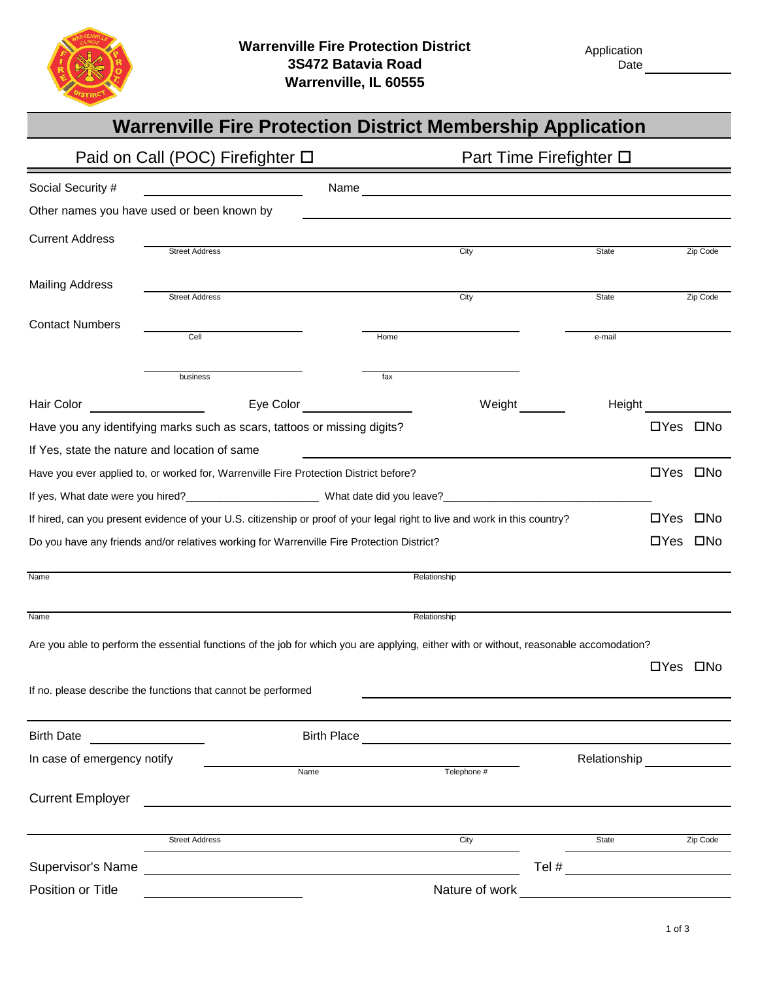

|                                                                                                                                           | <b>Warrenville Fire Protection District Membership Application</b>                                                                      |                |                         |                            |  |  |
|-------------------------------------------------------------------------------------------------------------------------------------------|-----------------------------------------------------------------------------------------------------------------------------------------|----------------|-------------------------|----------------------------|--|--|
|                                                                                                                                           | Paid on Call (POC) Firefighter □                                                                                                        |                | Part Time Firefighter □ |                            |  |  |
| Social Security #                                                                                                                         | <u> 1990 - John Barn Barns</u>                                                                                                          |                |                         |                            |  |  |
| Other names you have used or been known by                                                                                                |                                                                                                                                         |                |                         |                            |  |  |
| <b>Current Address</b>                                                                                                                    |                                                                                                                                         |                |                         |                            |  |  |
|                                                                                                                                           | <b>Street Address</b>                                                                                                                   | City           | State                   | Zip Code                   |  |  |
| <b>Mailing Address</b>                                                                                                                    | <b>Street Address</b>                                                                                                                   | City           | State                   | Zip Code                   |  |  |
|                                                                                                                                           |                                                                                                                                         |                |                         |                            |  |  |
| <b>Contact Numbers</b>                                                                                                                    | Cell                                                                                                                                    | Home           | e-mail                  |                            |  |  |
|                                                                                                                                           |                                                                                                                                         |                |                         |                            |  |  |
|                                                                                                                                           | business                                                                                                                                | fax            |                         |                            |  |  |
| Hair Color                                                                                                                                | Eye Color <b>Exercise Server</b><br><u> 1990 - Johann Barbara, martin eta </u>                                                          | Weight ______  | Height                  |                            |  |  |
|                                                                                                                                           | Have you any identifying marks such as scars, tattoos or missing digits?                                                                |                |                         | □Yes □No                   |  |  |
| If Yes, state the nature and location of same                                                                                             |                                                                                                                                         |                |                         |                            |  |  |
|                                                                                                                                           | Have you ever applied to, or worked for, Warrenville Fire Protection District before?                                                   |                |                         |                            |  |  |
|                                                                                                                                           |                                                                                                                                         |                |                         |                            |  |  |
|                                                                                                                                           | If hired, can you present evidence of your U.S. citizenship or proof of your legal right to live and work in this country?              |                |                         | $\square$ No<br>$\Box$ Yes |  |  |
|                                                                                                                                           | Do you have any friends and/or relatives working for Warrenville Fire Protection District?                                              |                |                         | □No<br>$\Box$ Yes          |  |  |
| Name                                                                                                                                      |                                                                                                                                         | Relationship   |                         |                            |  |  |
|                                                                                                                                           |                                                                                                                                         |                |                         |                            |  |  |
| Name                                                                                                                                      |                                                                                                                                         | Relationship   |                         |                            |  |  |
|                                                                                                                                           | Are you able to perform the essential functions of the job for which you are applying, either with or without, reasonable accomodation? |                |                         |                            |  |  |
|                                                                                                                                           |                                                                                                                                         |                |                         | □Yes □No                   |  |  |
|                                                                                                                                           | If no. please describe the functions that cannot be performed                                                                           |                |                         |                            |  |  |
|                                                                                                                                           |                                                                                                                                         |                |                         |                            |  |  |
| <b>Birth Date</b><br><u> 1980 - Jan Jawa Barat, prima prima prima prima prima prima prima prima prima prima prima prima prima prima p</u> | <b>Birth Place</b>                                                                                                                      |                |                         |                            |  |  |
| In case of emergency notify                                                                                                               | Name                                                                                                                                    | Telephone #    | Relationship            |                            |  |  |
|                                                                                                                                           |                                                                                                                                         |                |                         |                            |  |  |
| <b>Current Employer</b>                                                                                                                   |                                                                                                                                         |                |                         |                            |  |  |
|                                                                                                                                           | <b>Street Address</b>                                                                                                                   | City           | State                   | Zip Code                   |  |  |
| Supervisor's Name                                                                                                                         |                                                                                                                                         |                | Tel $\#$                |                            |  |  |
| Position or Title                                                                                                                         |                                                                                                                                         | Nature of work |                         |                            |  |  |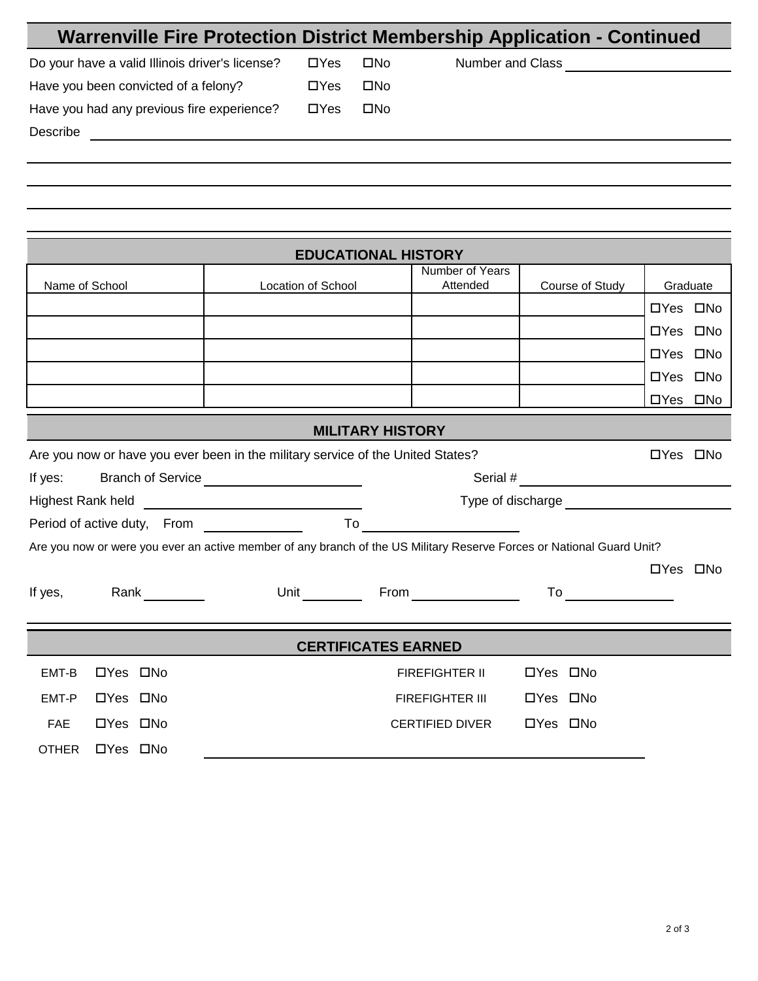| <b>Warrenville Fire Protection District Membership Application - Continued</b>                                        |                      |                            |                             |                                     |          |          |
|-----------------------------------------------------------------------------------------------------------------------|----------------------|----------------------------|-----------------------------|-------------------------------------|----------|----------|
| Do your have a valid Illinois driver's license?                                                                       | $\Box$ Yes           | $\square$ No               |                             | Number and Class Number and Allance |          |          |
| Have you been convicted of a felony?                                                                                  | $\Box$ Yes           | $\square$ No               |                             |                                     |          |          |
| Have you had any previous fire experience?                                                                            | $\Box$ Yes           | $\square$ No               |                             |                                     |          |          |
| Describe<br><u> 1980 - Johann Barn, fransk politik fotograf (d. 1980)</u>                                             |                      |                            |                             |                                     |          |          |
|                                                                                                                       |                      |                            |                             |                                     |          |          |
|                                                                                                                       |                      |                            |                             |                                     |          |          |
|                                                                                                                       |                      |                            |                             |                                     |          |          |
|                                                                                                                       |                      |                            |                             |                                     |          |          |
|                                                                                                                       |                      | <b>EDUCATIONAL HISTORY</b> |                             |                                     |          |          |
| Name of School                                                                                                        | Location of School   |                            | Number of Years<br>Attended | Course of Study                     |          | Graduate |
|                                                                                                                       |                      |                            |                             |                                     | □Yes □No |          |
|                                                                                                                       |                      |                            |                             |                                     | □Yes □No |          |
|                                                                                                                       |                      |                            |                             |                                     | □Yes □No |          |
|                                                                                                                       |                      |                            |                             |                                     | □Yes □No |          |
|                                                                                                                       |                      |                            |                             |                                     | □Yes □No |          |
|                                                                                                                       |                      | <b>MILITARY HISTORY</b>    |                             |                                     |          |          |
| Are you now or have you ever been in the military service of the United States?                                       |                      |                            |                             |                                     | □Yes □No |          |
| If yes:<br>Branch of Service __________________________                                                               |                      |                            |                             |                                     |          |          |
|                                                                                                                       |                      |                            |                             |                                     |          |          |
|                                                                                                                       |                      |                            |                             |                                     |          |          |
| Are you now or were you ever an active member of any branch of the US Military Reserve Forces or National Guard Unit? |                      |                            |                             |                                     |          |          |
|                                                                                                                       |                      |                            |                             |                                     | □Yes □No |          |
| If yes,<br>Rank $\frac{1}{\sqrt{1-\frac{1}{2}}\cdot\frac{1}{2}}$                                                      | Unit $\qquad \qquad$ |                            | $From \_\_\_\_\_\_\_\_\_$   | To ______________                   |          |          |

|              |          | <b>CERTIFICATES EARNED</b>                     |
|--------------|----------|------------------------------------------------|
| EMT-B        | □Yes □No | $\Box$ Yes $\Box$ No<br><b>FIREFIGHTER II</b>  |
| EMT-P        | □Yes □No | □Yes □No<br><b>FIREFIGHTER III</b>             |
| <b>FAE</b>   | □Yes □No | $\Box$ Yes $\Box$ No<br><b>CERTIFIED DIVER</b> |
| <b>OTHER</b> | □Yes □No |                                                |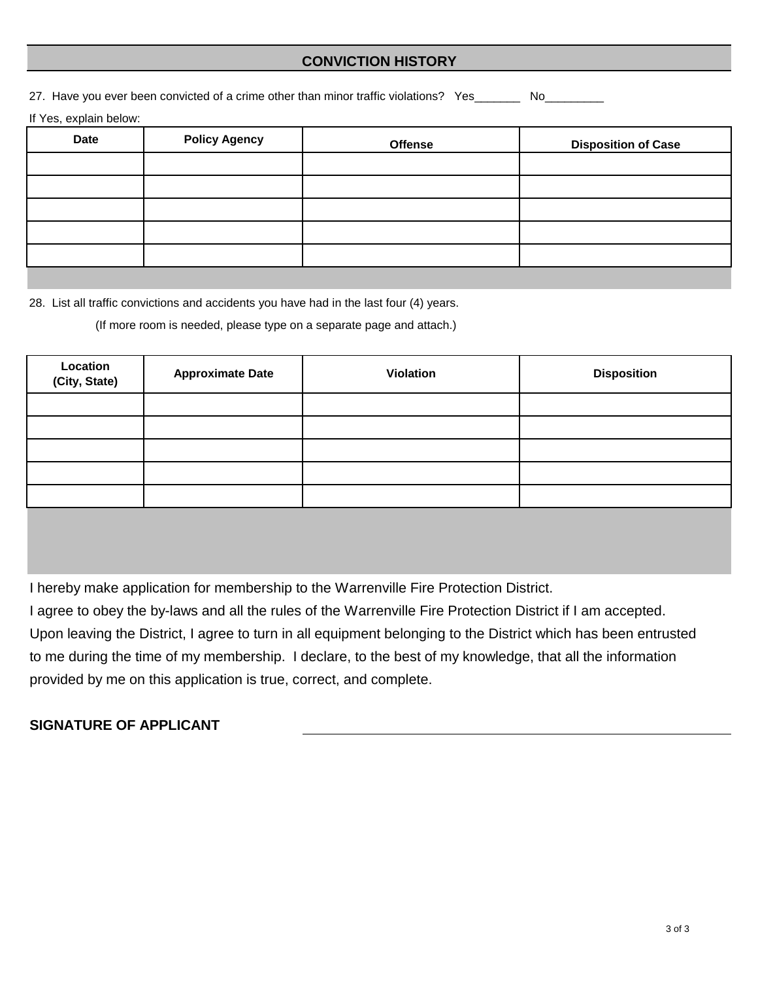## **CONVICTION HISTORY**

27. Have you ever been convicted of a crime other than minor traffic violations? Yes\_\_\_\_\_\_\_\_ No\_\_\_\_\_

If Yes, explain below:

| <b>Date</b> | <b>Policy Agency</b> | <b>Offense</b> | <b>Disposition of Case</b> |
|-------------|----------------------|----------------|----------------------------|
|             |                      |                |                            |
|             |                      |                |                            |
|             |                      |                |                            |
|             |                      |                |                            |
|             |                      |                |                            |

28. List all traffic convictions and accidents you have had in the last four (4) years.

(If more room is needed, please type on a separate page and attach.)

| Location<br>(City, State) | <b>Approximate Date</b> | Violation | <b>Disposition</b> |
|---------------------------|-------------------------|-----------|--------------------|
|                           |                         |           |                    |
|                           |                         |           |                    |
|                           |                         |           |                    |
|                           |                         |           |                    |
|                           |                         |           |                    |
|                           |                         |           |                    |

I hereby make application for membership to the Warrenville Fire Protection District.

Upon leaving the District, I agree to turn in all equipment belonging to the District which has been entrusted to me during the time of my membership. I declare, to the best of my knowledge, that all the information provided by me on this application is true, correct, and complete. I agree to obey the by-laws and all the rules of the Warrenville Fire Protection District if I am accepted.

# **SIGNATURE OF APPLICANT**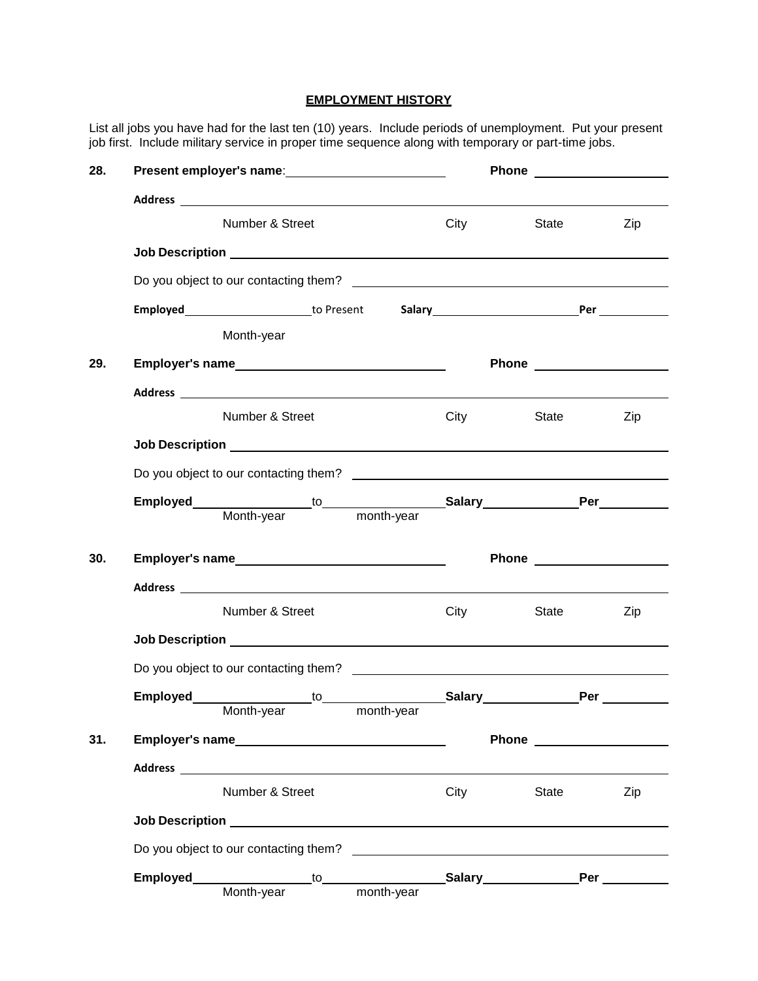### **EMPLOYMENT HISTORY**

List all jobs you have had for the last ten (10) years. Include periods of unemployment. Put your present job first. Include military service in proper time sequence along with temporary or part-time jobs.

| 28. | Present employer's name: 1997                                                                                                                                                                                                  |            |      |       | Phone <u>superscription</u>                                                                                                                                                                                                        |
|-----|--------------------------------------------------------------------------------------------------------------------------------------------------------------------------------------------------------------------------------|------------|------|-------|------------------------------------------------------------------------------------------------------------------------------------------------------------------------------------------------------------------------------------|
|     |                                                                                                                                                                                                                                |            |      |       |                                                                                                                                                                                                                                    |
|     | Number & Street                                                                                                                                                                                                                |            | City | State | Zip                                                                                                                                                                                                                                |
|     |                                                                                                                                                                                                                                |            |      |       |                                                                                                                                                                                                                                    |
|     |                                                                                                                                                                                                                                |            |      |       |                                                                                                                                                                                                                                    |
|     |                                                                                                                                                                                                                                |            |      |       |                                                                                                                                                                                                                                    |
|     | Month-year                                                                                                                                                                                                                     |            |      |       |                                                                                                                                                                                                                                    |
| 29. |                                                                                                                                                                                                                                |            |      |       | Phone <u>superiors</u>                                                                                                                                                                                                             |
|     |                                                                                                                                                                                                                                |            |      |       |                                                                                                                                                                                                                                    |
|     | Number & Street                                                                                                                                                                                                                |            | City | State | Zip                                                                                                                                                                                                                                |
|     |                                                                                                                                                                                                                                |            |      |       |                                                                                                                                                                                                                                    |
|     |                                                                                                                                                                                                                                |            |      |       |                                                                                                                                                                                                                                    |
|     |                                                                                                                                                                                                                                |            |      |       |                                                                                                                                                                                                                                    |
|     |                                                                                                                                                                                                                                |            |      |       |                                                                                                                                                                                                                                    |
| 30. | Employer's name<br><u>Employer's name</u>                                                                                                                                                                                      |            |      |       | Phone <u>superscription</u>                                                                                                                                                                                                        |
|     |                                                                                                                                                                                                                                |            |      |       |                                                                                                                                                                                                                                    |
|     | Number & Street                                                                                                                                                                                                                |            | City | State | Zip                                                                                                                                                                                                                                |
|     |                                                                                                                                                                                                                                |            |      |       |                                                                                                                                                                                                                                    |
|     | Do you object to our contacting them? Do you are also as a series of the series of the series of the series of the series of the series of the series of the series of the series of the series of the series of the series of |            |      |       |                                                                                                                                                                                                                                    |
|     |                                                                                                                                                                                                                                |            |      |       |                                                                                                                                                                                                                                    |
|     | Month-year                                                                                                                                                                                                                     | month-year |      |       |                                                                                                                                                                                                                                    |
| 31. |                                                                                                                                                                                                                                |            |      |       | <b>Phone Contract Contract Contract Contract Contract Contract Contract Contract Contract Contract Contract Contract Contract Contract Contract Contract Contract Contract Contract Contract Contract Contract Contract Contra</b> |
|     |                                                                                                                                                                                                                                |            |      |       |                                                                                                                                                                                                                                    |
|     | Number & Street                                                                                                                                                                                                                |            | City | State | Zip                                                                                                                                                                                                                                |
|     |                                                                                                                                                                                                                                |            |      |       |                                                                                                                                                                                                                                    |
|     |                                                                                                                                                                                                                                |            |      |       |                                                                                                                                                                                                                                    |
|     |                                                                                                                                                                                                                                |            |      |       |                                                                                                                                                                                                                                    |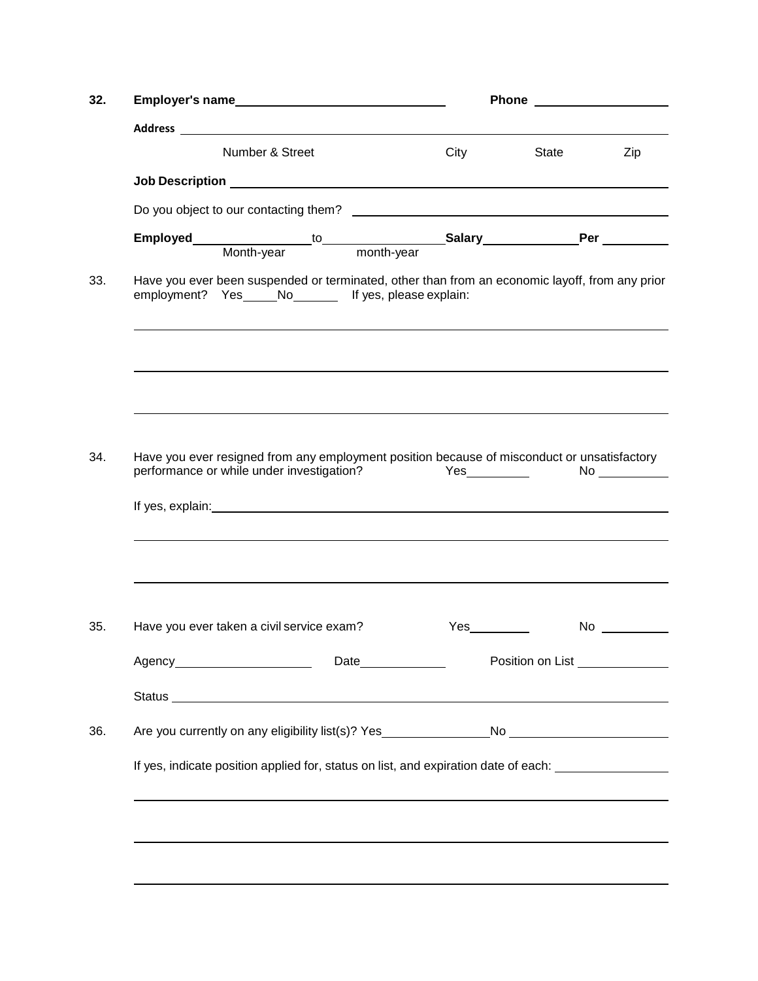|                                                                                                                                                          |      | <b>Phone Contract Contract Contract Contract Contract Contract Contract Contract Contract Contract Contract Contract Contract Contract Contract Contract Contract Contract Contract Contract Contract Contract Contract Contra</b> |           |  |
|----------------------------------------------------------------------------------------------------------------------------------------------------------|------|------------------------------------------------------------------------------------------------------------------------------------------------------------------------------------------------------------------------------------|-----------|--|
|                                                                                                                                                          |      |                                                                                                                                                                                                                                    |           |  |
| Number & Street                                                                                                                                          | City | State                                                                                                                                                                                                                              | Zip       |  |
|                                                                                                                                                          |      |                                                                                                                                                                                                                                    |           |  |
|                                                                                                                                                          |      |                                                                                                                                                                                                                                    |           |  |
|                                                                                                                                                          |      |                                                                                                                                                                                                                                    |           |  |
| Have you ever been suspended or terminated, other than from an economic layoff, from any prior<br>employment? Yes_____No________ If yes, please explain: |      |                                                                                                                                                                                                                                    |           |  |
|                                                                                                                                                          |      |                                                                                                                                                                                                                                    |           |  |
| Have you ever resigned from any employment position because of misconduct or unsatisfactory<br>performance or while under investigation?                 |      | Yes_____________                                                                                                                                                                                                                   | No        |  |
| Have you ever taken a civil service exam?                                                                                                                |      |                                                                                                                                                                                                                                    | $No \ \_$ |  |
| Agency_________________________                                                                                                                          |      | Position on List                                                                                                                                                                                                                   |           |  |
|                                                                                                                                                          |      |                                                                                                                                                                                                                                    |           |  |
|                                                                                                                                                          |      |                                                                                                                                                                                                                                    |           |  |
|                                                                                                                                                          |      |                                                                                                                                                                                                                                    |           |  |
| If yes, indicate position applied for, status on list, and expiration date of each: _______________                                                      |      |                                                                                                                                                                                                                                    |           |  |
|                                                                                                                                                          |      |                                                                                                                                                                                                                                    |           |  |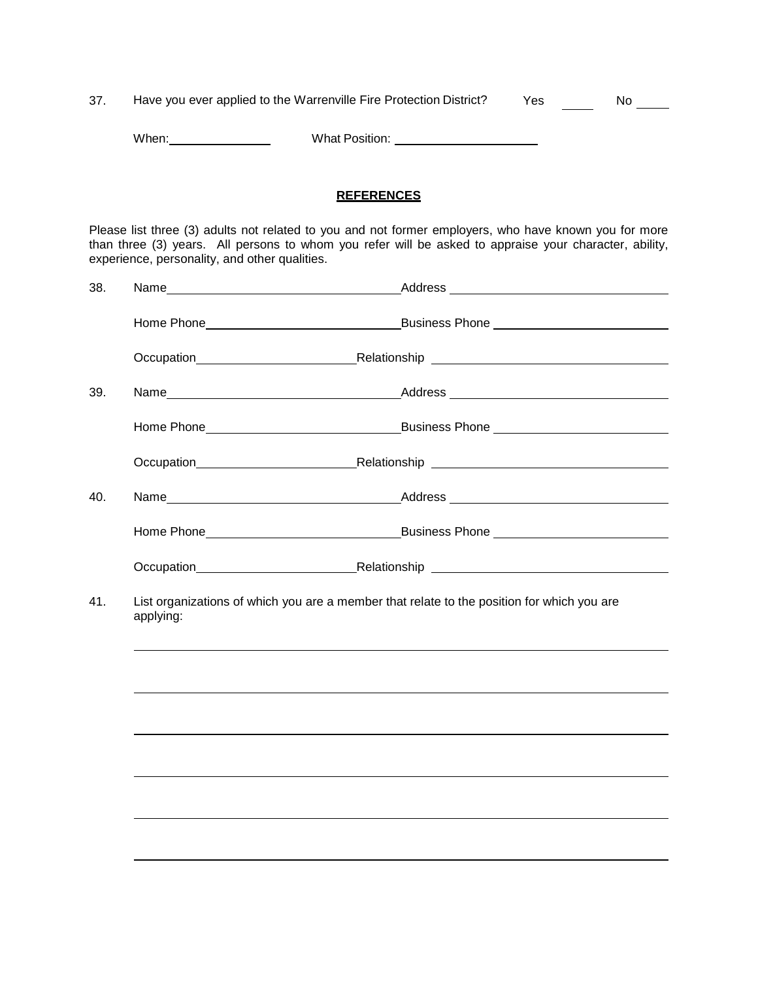| 37. |       | Have you ever applied to the Warrenville Fire Protection District? | Yes | No |
|-----|-------|--------------------------------------------------------------------|-----|----|
|     |       |                                                                    |     |    |
|     | When: | What Position:                                                     |     |    |

# **REFERENCES**

Please list three (3) adults not related to you and not former employers, who have known you for more than three (3) years. All persons to whom you refer will be asked to appraise your character, ability, experience, personality, and other qualities.

| 38. |           |                                                                                            |
|-----|-----------|--------------------------------------------------------------------------------------------|
|     |           |                                                                                            |
|     |           |                                                                                            |
| 39. |           |                                                                                            |
|     |           |                                                                                            |
|     |           |                                                                                            |
| 40. |           |                                                                                            |
|     |           |                                                                                            |
|     |           |                                                                                            |
| 41. | applying: | List organizations of which you are a member that relate to the position for which you are |
|     |           |                                                                                            |
|     |           |                                                                                            |
|     |           |                                                                                            |
|     |           |                                                                                            |
|     |           |                                                                                            |
|     |           |                                                                                            |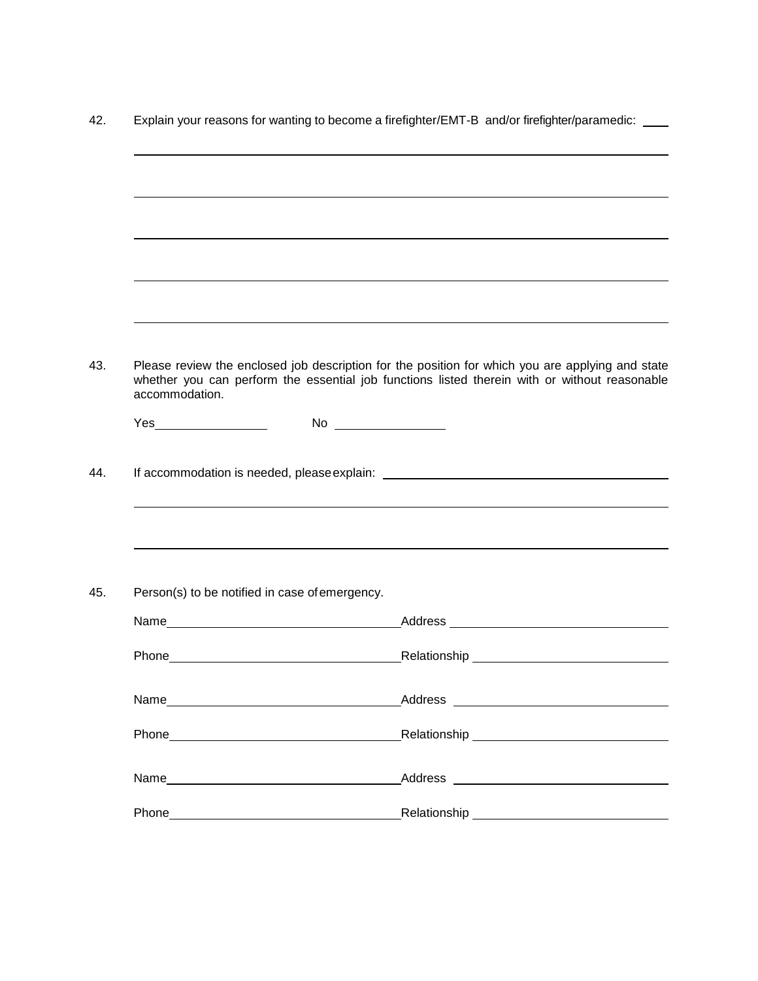|                |                                                                                                                                                                                                                               | Explain your reasons for wanting to become a firefighter/EMT-B and/or firefighter/paramedic:                                                                                                      |
|----------------|-------------------------------------------------------------------------------------------------------------------------------------------------------------------------------------------------------------------------------|---------------------------------------------------------------------------------------------------------------------------------------------------------------------------------------------------|
|                |                                                                                                                                                                                                                               |                                                                                                                                                                                                   |
|                |                                                                                                                                                                                                                               |                                                                                                                                                                                                   |
|                |                                                                                                                                                                                                                               |                                                                                                                                                                                                   |
|                |                                                                                                                                                                                                                               |                                                                                                                                                                                                   |
| accommodation. |                                                                                                                                                                                                                               | Please review the enclosed job description for the position for which you are applying and state<br>whether you can perform the essential job functions listed therein with or without reasonable |
|                |                                                                                                                                                                                                                               |                                                                                                                                                                                                   |
|                |                                                                                                                                                                                                                               |                                                                                                                                                                                                   |
|                | Person(s) to be notified in case of emergency.                                                                                                                                                                                |                                                                                                                                                                                                   |
|                |                                                                                                                                                                                                                               |                                                                                                                                                                                                   |
| Phone          |                                                                                                                                                                                                                               | _Relationship _                                                                                                                                                                                   |
|                |                                                                                                                                                                                                                               |                                                                                                                                                                                                   |
|                | Phone Phone Phone Phone Phone Phone Phone Phone Phone Phone Phone Phone Phone Phone Phone Phone Phone Phone Phone Phone Phone Phone Phone Phone Phone Phone Phone Phone Phone Phone Phone Phone Phone Phone Phone Phone Phone | _Relationship _________________________________                                                                                                                                                   |
|                |                                                                                                                                                                                                                               |                                                                                                                                                                                                   |
|                |                                                                                                                                                                                                                               |                                                                                                                                                                                                   |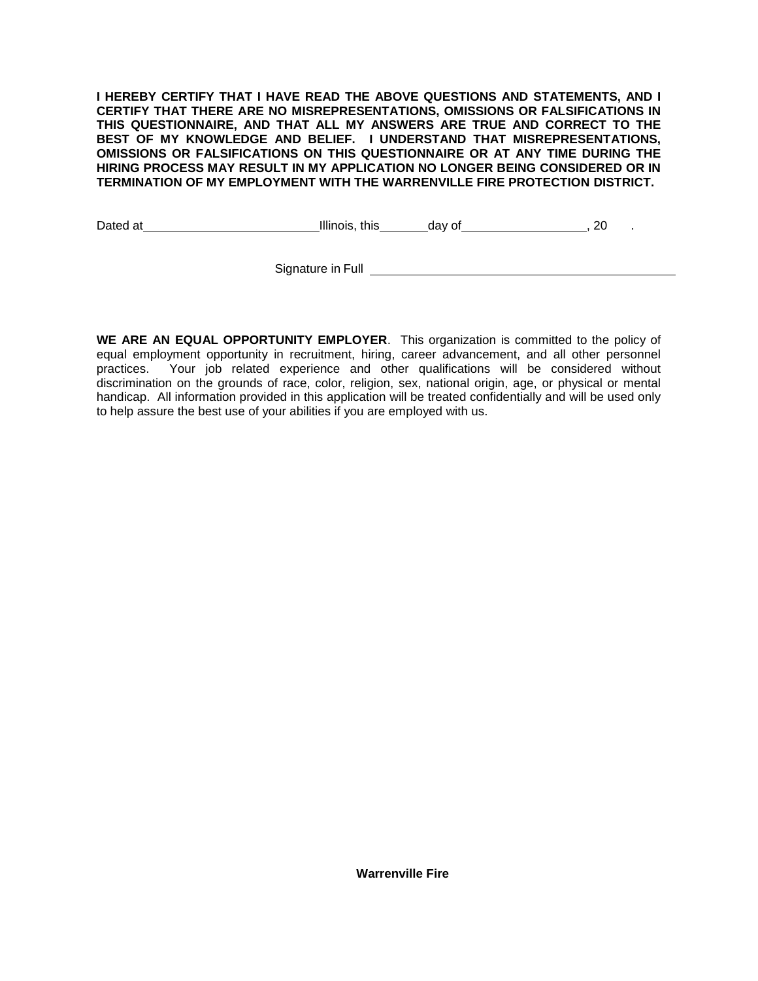**I HEREBY CERTIFY THAT I HAVE READ THE ABOVE QUESTIONS AND STATEMENTS, AND I CERTIFY THAT THERE ARE NO MISREPRESENTATIONS, OMISSIONS OR FALSIFICATIONS IN THIS QUESTIONNAIRE, AND THAT ALL MY ANSWERS ARE TRUE AND CORRECT TO THE BEST OF MY KNOWLEDGE AND BELIEF. I UNDERSTAND THAT MISREPRESENTATIONS, OMISSIONS OR FALSIFICATIONS ON THIS QUESTIONNAIRE OR AT ANY TIME DURING THE HIRING PROCESS MAY RESULT IN MY APPLICATION NO LONGER BEING CONSIDERED OR IN TERMINATION OF MY EMPLOYMENT WITH THE WARRENVILLE FIRE PROTECTION DISTRICT.**

Dated at Illinois, this day of , 20 .

Signature in Full

**WE ARE AN EQUAL OPPORTUNITY EMPLOYER**. This organization is committed to the policy of equal employment opportunity in recruitment, hiring, career advancement, and all other personnel practices. Your job related experience and other qualifications will be considered without discrimination on the grounds of race, color, religion, sex, national origin, age, or physical or mental handicap. All information provided in this application will be treated confidentially and will be used only to help assure the best use of your abilities if you are employed with us.